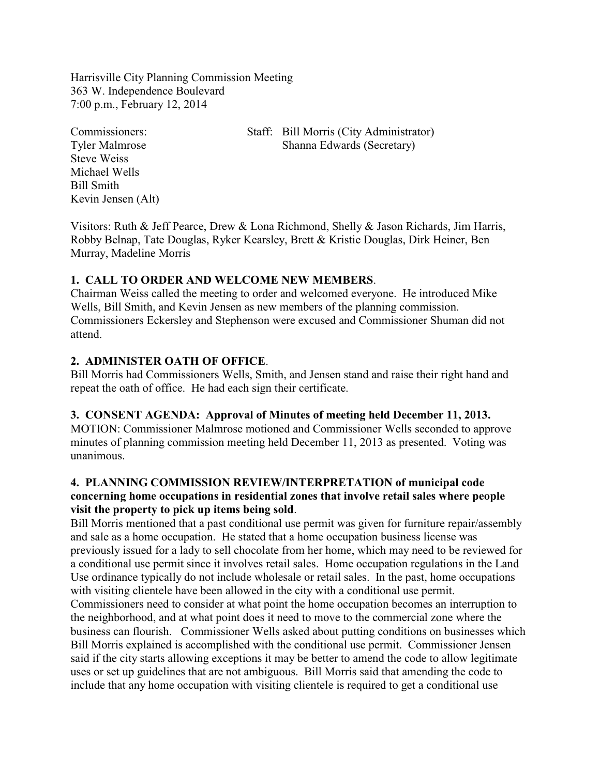Harrisville City Planning Commission Meeting 363 W. Independence Boulevard 7:00 p.m., February 12, 2014

Steve Weiss Michael Wells Bill Smith Kevin Jensen (Alt)

Commissioners: Staff: Bill Morris (City Administrator) Tyler Malmrose Shanna Edwards (Secretary)

Visitors: Ruth & Jeff Pearce, Drew & Lona Richmond, Shelly & Jason Richards, Jim Harris, Robby Belnap, Tate Douglas, Ryker Kearsley, Brett & Kristie Douglas, Dirk Heiner, Ben Murray, Madeline Morris

## **1. CALL TO ORDER AND WELCOME NEW MEMBERS**.

Chairman Weiss called the meeting to order and welcomed everyone. He introduced Mike Wells, Bill Smith, and Kevin Jensen as new members of the planning commission. Commissioners Eckersley and Stephenson were excused and Commissioner Shuman did not attend.

## **2. ADMINISTER OATH OF OFFICE**.

Bill Morris had Commissioners Wells, Smith, and Jensen stand and raise their right hand and repeat the oath of office. He had each sign their certificate.

#### **3. CONSENT AGENDA: Approval of Minutes of meeting held December 11, 2013.**

MOTION: Commissioner Malmrose motioned and Commissioner Wells seconded to approve minutes of planning commission meeting held December 11, 2013 as presented. Voting was unanimous.

## **4. PLANNING COMMISSION REVIEW/INTERPRETATION of municipal code concerning home occupations in residential zones that involve retail sales where people visit the property to pick up items being sold**.

Bill Morris mentioned that a past conditional use permit was given for furniture repair/assembly and sale as a home occupation. He stated that a home occupation business license was previously issued for a lady to sell chocolate from her home, which may need to be reviewed for a conditional use permit since it involves retail sales. Home occupation regulations in the Land Use ordinance typically do not include wholesale or retail sales. In the past, home occupations with visiting clientele have been allowed in the city with a conditional use permit.

Commissioners need to consider at what point the home occupation becomes an interruption to the neighborhood, and at what point does it need to move to the commercial zone where the business can flourish. Commissioner Wells asked about putting conditions on businesses which Bill Morris explained is accomplished with the conditional use permit. Commissioner Jensen said if the city starts allowing exceptions it may be better to amend the code to allow legitimate uses or set up guidelines that are not ambiguous. Bill Morris said that amending the code to include that any home occupation with visiting clientele is required to get a conditional use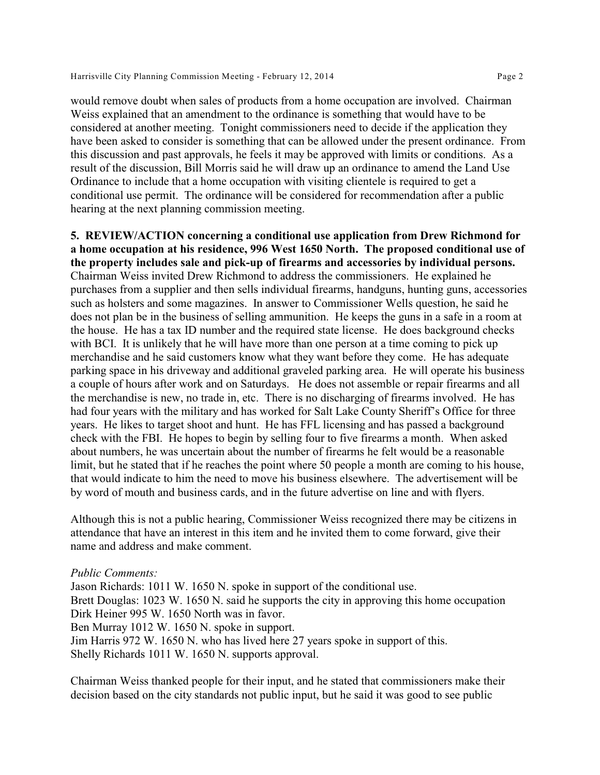would remove doubt when sales of products from a home occupation are involved. Chairman Weiss explained that an amendment to the ordinance is something that would have to be considered at another meeting. Tonight commissioners need to decide if the application they have been asked to consider is something that can be allowed under the present ordinance. From this discussion and past approvals, he feels it may be approved with limits or conditions. As a result of the discussion, Bill Morris said he will draw up an ordinance to amend the Land Use Ordinance to include that a home occupation with visiting clientele is required to get a conditional use permit. The ordinance will be considered for recommendation after a public hearing at the next planning commission meeting.

**5. REVIEW/ACTION concerning a conditional use application from Drew Richmond for a home occupation at his residence, 996 West 1650 North. The proposed conditional use of the property includes sale and pick-up of firearms and accessories by individual persons.**  Chairman Weiss invited Drew Richmond to address the commissioners. He explained he purchases from a supplier and then sells individual firearms, handguns, hunting guns, accessories such as holsters and some magazines. In answer to Commissioner Wells question, he said he does not plan be in the business of selling ammunition. He keeps the guns in a safe in a room at the house. He has a tax ID number and the required state license. He does background checks with BCI. It is unlikely that he will have more than one person at a time coming to pick up merchandise and he said customers know what they want before they come. He has adequate parking space in his driveway and additional graveled parking area. He will operate his business a couple of hours after work and on Saturdays. He does not assemble or repair firearms and all the merchandise is new, no trade in, etc. There is no discharging of firearms involved. He has had four years with the military and has worked for Salt Lake County Sheriff's Office for three years. He likes to target shoot and hunt. He has FFL licensing and has passed a background check with the FBI. He hopes to begin by selling four to five firearms a month. When asked about numbers, he was uncertain about the number of firearms he felt would be a reasonable limit, but he stated that if he reaches the point where 50 people a month are coming to his house, that would indicate to him the need to move his business elsewhere. The advertisement will be by word of mouth and business cards, and in the future advertise on line and with flyers.

Although this is not a public hearing, Commissioner Weiss recognized there may be citizens in attendance that have an interest in this item and he invited them to come forward, give their name and address and make comment.

#### *Public Comments:*

Jason Richards: 1011 W. 1650 N. spoke in support of the conditional use. Brett Douglas: 1023 W. 1650 N. said he supports the city in approving this home occupation Dirk Heiner 995 W. 1650 North was in favor. Ben Murray 1012 W. 1650 N. spoke in support. Jim Harris 972 W. 1650 N. who has lived here 27 years spoke in support of this. Shelly Richards 1011 W. 1650 N. supports approval.

Chairman Weiss thanked people for their input, and he stated that commissioners make their decision based on the city standards not public input, but he said it was good to see public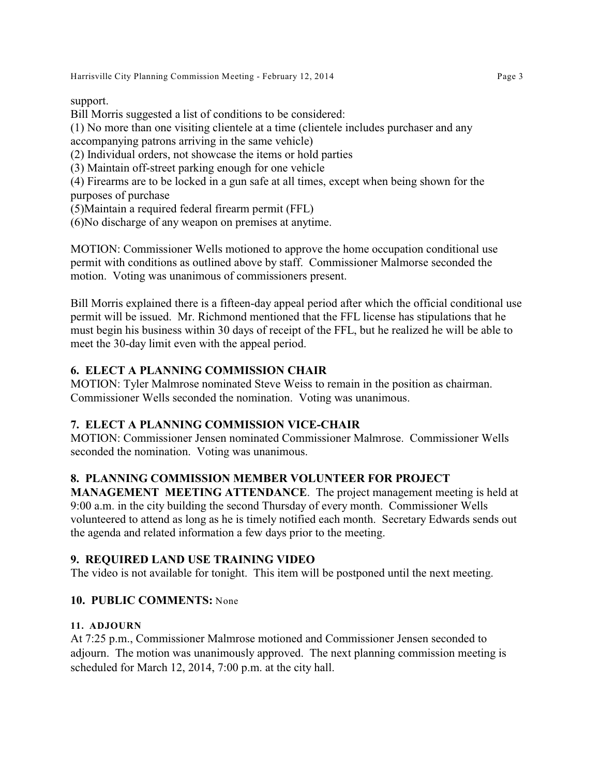Harrisville City Planning Commission Meeting - February 12, 2014 **Page 3** Page 3

support.

Bill Morris suggested a list of conditions to be considered: (1) No more than one visiting clientele at a time (clientele includes purchaser and any accompanying patrons arriving in the same vehicle) (2) Individual orders, not showcase the items or hold parties (3) Maintain off-street parking enough for one vehicle (4) Firearms are to be locked in a gun safe at all times, except when being shown for the purposes of purchase (5)Maintain a required federal firearm permit (FFL)

(6)No discharge of any weapon on premises at anytime.

MOTION: Commissioner Wells motioned to approve the home occupation conditional use permit with conditions as outlined above by staff. Commissioner Malmorse seconded the motion. Voting was unanimous of commissioners present.

Bill Morris explained there is a fifteen-day appeal period after which the official conditional use permit will be issued. Mr. Richmond mentioned that the FFL license has stipulations that he must begin his business within 30 days of receipt of the FFL, but he realized he will be able to meet the 30-day limit even with the appeal period.

## **6. ELECT A PLANNING COMMISSION CHAIR**

MOTION: Tyler Malmrose nominated Steve Weiss to remain in the position as chairman. Commissioner Wells seconded the nomination. Voting was unanimous.

## **7. ELECT A PLANNING COMMISSION VICE-CHAIR**

MOTION: Commissioner Jensen nominated Commissioner Malmrose. Commissioner Wells seconded the nomination. Voting was unanimous.

# **8. PLANNING COMMISSION MEMBER VOLUNTEER FOR PROJECT**

**MANAGEMENT MEETING ATTENDANCE**. The project management meeting is held at 9:00 a.m. in the city building the second Thursday of every month. Commissioner Wells volunteered to attend as long as he is timely notified each month. Secretary Edwards sends out the agenda and related information a few days prior to the meeting.

# **9. REQUIRED LAND USE TRAINING VIDEO**

The video is not available for tonight. This item will be postponed until the next meeting.

# **10. PUBLIC COMMENTS:** None

## **11. ADJOURN**

At 7:25 p.m., Commissioner Malmrose motioned and Commissioner Jensen seconded to adjourn. The motion was unanimously approved. The next planning commission meeting is scheduled for March 12, 2014, 7:00 p.m. at the city hall.